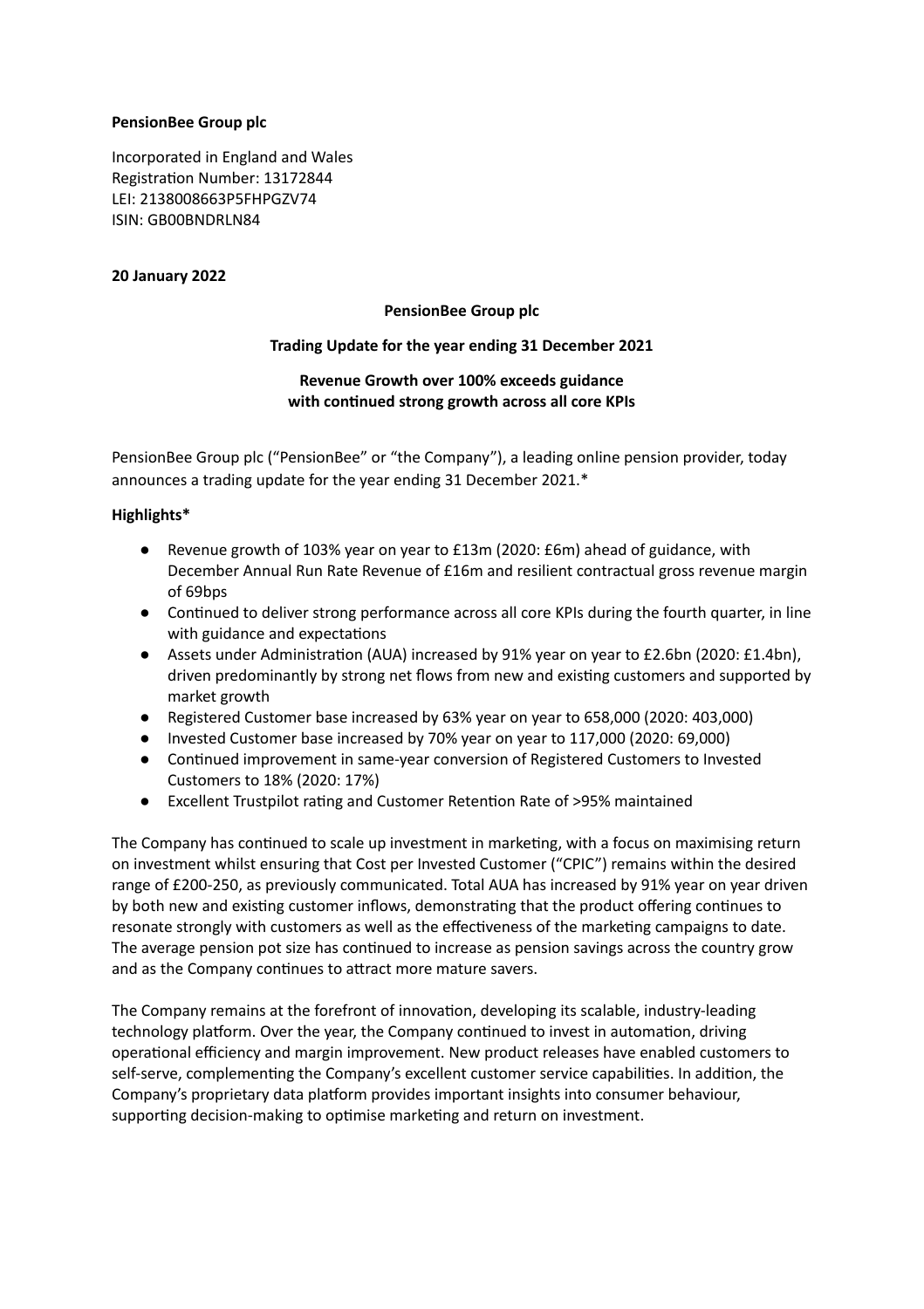## **PensionBee Group plc**

Incorporated in England and Wales Registration Number: 13172844 LEI: 2138008663P5FHPGZV74 ISIN: GB00BNDRLN84

## **20 January 2022**

### **PensionBee Group plc**

### **Trading Update for the year ending 31 December 2021**

# **Revenue Growth over 100% exceeds guidance with continued strong growth across all core KPIs**

PensionBee Group plc ("PensionBee" or "the Company"), a leading online pension provider, today announces a trading update for the year ending 31 December 2021.\*

### **Highlights\***

- Revenue growth of 103% year on year to £13m (2020: £6m) ahead of guidance, with December Annual Run Rate Revenue of £16m and resilient contractual gross revenue margin of 69bps
- Continued to deliver strong performance across all core KPIs during the fourth quarter, in line with guidance and expectations
- Assets under Administration (AUA) increased by 91% year on year to £2.6bn (2020: £1.4bn), driven predominantly by strong net flows from new and existing customers and supported by market growth
- Registered Customer base increased by 63% year on year to 658,000 (2020: 403,000)
- Invested Customer base increased by 70% year on year to 117,000 (2020: 69,000)
- Continued improvement in same-year conversion of Registered Customers to Invested Customers to 18% (2020: 17%)
- Excellent Trustpilot rating and Customer Retention Rate of >95% maintained

The Company has continued to scale up investment in marketing, with a focus on maximising return on investment whilst ensuring that Cost per Invested Customer ("CPIC") remains within the desired range of £200-250, as previously communicated. Total AUA has increased by 91% year on year driven by both new and existing customer inflows, demonstrating that the product offering continues to resonate strongly with customers as well as the effectiveness of the marketing campaigns to date. The average pension pot size has continued to increase as pension savings across the country grow and as the Company continues to attract more mature savers.

The Company remains at the forefront of innovation, developing its scalable, industry-leading technology platform. Over the year, the Company continued to invest in automation, driving operational efficiency and margin improvement. New product releases have enabled customers to self-serve, complementing the Company's excellent customer service capabilities. In addition, the Company's proprietary data platform provides important insights into consumer behaviour, supporting decision-making to optimise marketing and return on investment.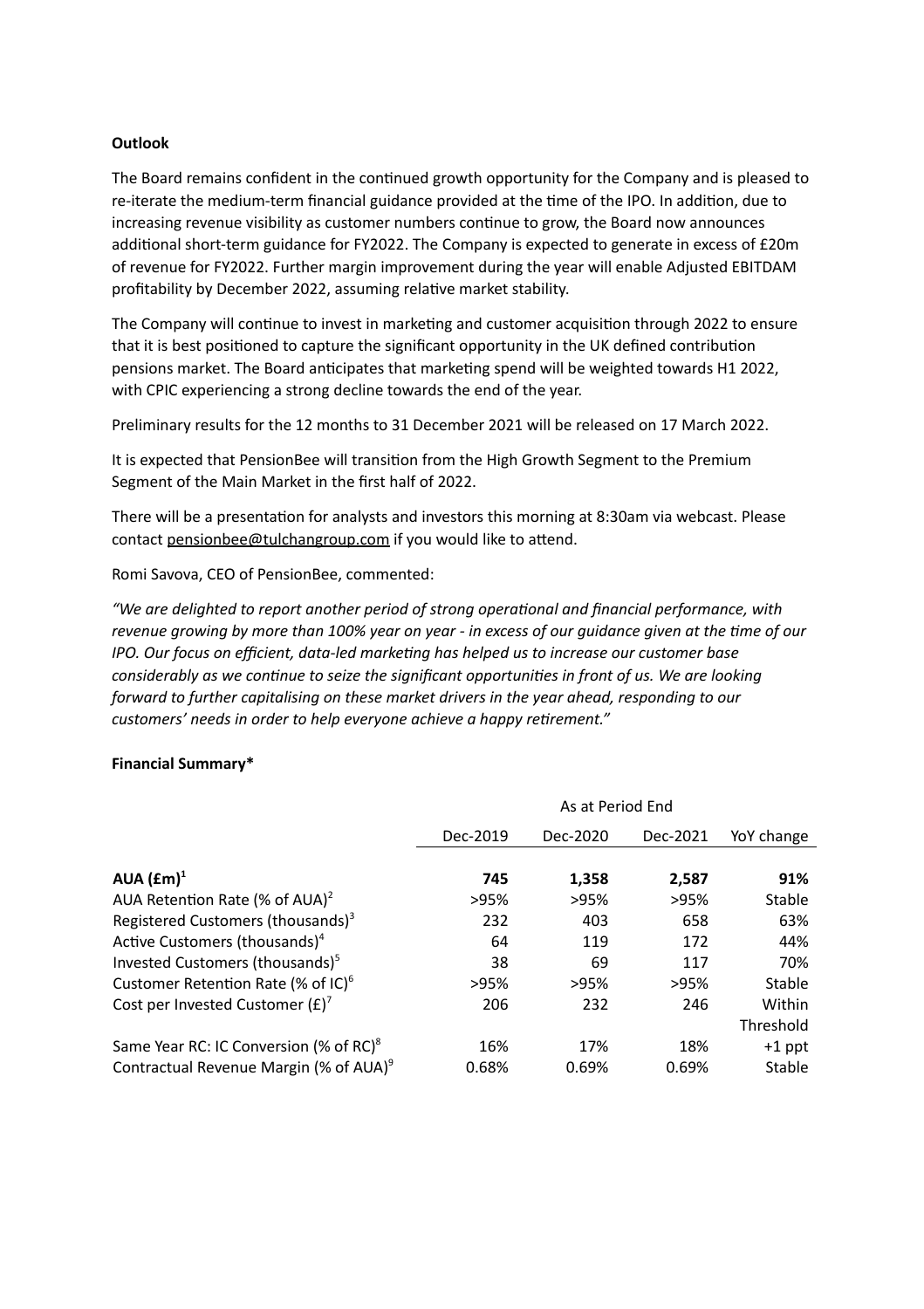## **Outlook**

The Board remains confident in the continued growth opportunity for the Company and is pleased to re-iterate the medium-term financial guidance provided at the time of the IPO. In addition, due to increasing revenue visibility as customer numbers continue to grow, the Board now announces additional short-term guidance for FY2022. The Company is expected to generate in excess of £20m of revenue for FY2022. Further margin improvement during the year will enable Adjusted EBITDAM profitability by December 2022, assuming relative market stability.

The Company will continue to invest in marketing and customer acquisition through 2022 to ensure that it is best positioned to capture the significant opportunity in the UK defined contribution pensions market. The Board anticipates that marketing spend will be weighted towards H1 2022, with CPIC experiencing a strong decline towards the end of the year.

Preliminary results for the 12 months to 31 December 2021 will be released on 17 March 2022.

It is expected that PensionBee will transition from the High Growth Segment to the Premium Segment of the Main Market in the first half of 2022.

There will be a presentation for analysts and investors this morning at 8:30am via webcast. Please contact pensionbee@tulchangroup.com if you would like to attend.

Romi Savova, CEO of PensionBee, commented:

*"We are delighted to report another period of strong operaonal and financial performance, with* revenue growing by more than 100% year on year - in excess of our quidance given at the time of our *IPO. Our focus on efficient, data-led markeng has helped us to increase our customer base considerably as we connue to seize the significant opportunies in front of us. We are looking forward to further capitalising on these market drivers in the year ahead, responding to our customers'* needs in order to help everyone achieve a happy retirement."

#### **Financial Summary\***

|                                                    | As at Period End |          |          |            |  |
|----------------------------------------------------|------------------|----------|----------|------------|--|
|                                                    | Dec-2019         | Dec-2020 | Dec-2021 | YoY change |  |
|                                                    |                  |          |          |            |  |
| AUA $(\text{fm})^1$                                | 745              | 1,358    | 2,587    | 91%        |  |
| AUA Retention Rate (% of AUA) <sup>2</sup>         | >95%             | >95%     | >95%     | Stable     |  |
| Registered Customers (thousands) <sup>3</sup>      | 232              | 403      | 658      | 63%        |  |
| Active Customers (thousands) <sup>4</sup>          | 64               | 119      | 172      | 44%        |  |
| Invested Customers (thousands) <sup>5</sup>        | 38               | 69       | 117      | 70%        |  |
| Customer Retention Rate (% of $IC$ ) <sup>6</sup>  | >95%             | >95%     | >95%     | Stable     |  |
| Cost per Invested Customer $(E)^7$                 | 206              | 232      | 246      | Within     |  |
|                                                    |                  |          |          | Threshold  |  |
| Same Year RC: IC Conversion (% of RC) <sup>8</sup> | 16%              | 17%      | 18%      | $+1$ ppt   |  |
| Contractual Revenue Margin (% of AUA) <sup>9</sup> | 0.68%            | 0.69%    | 0.69%    | Stable     |  |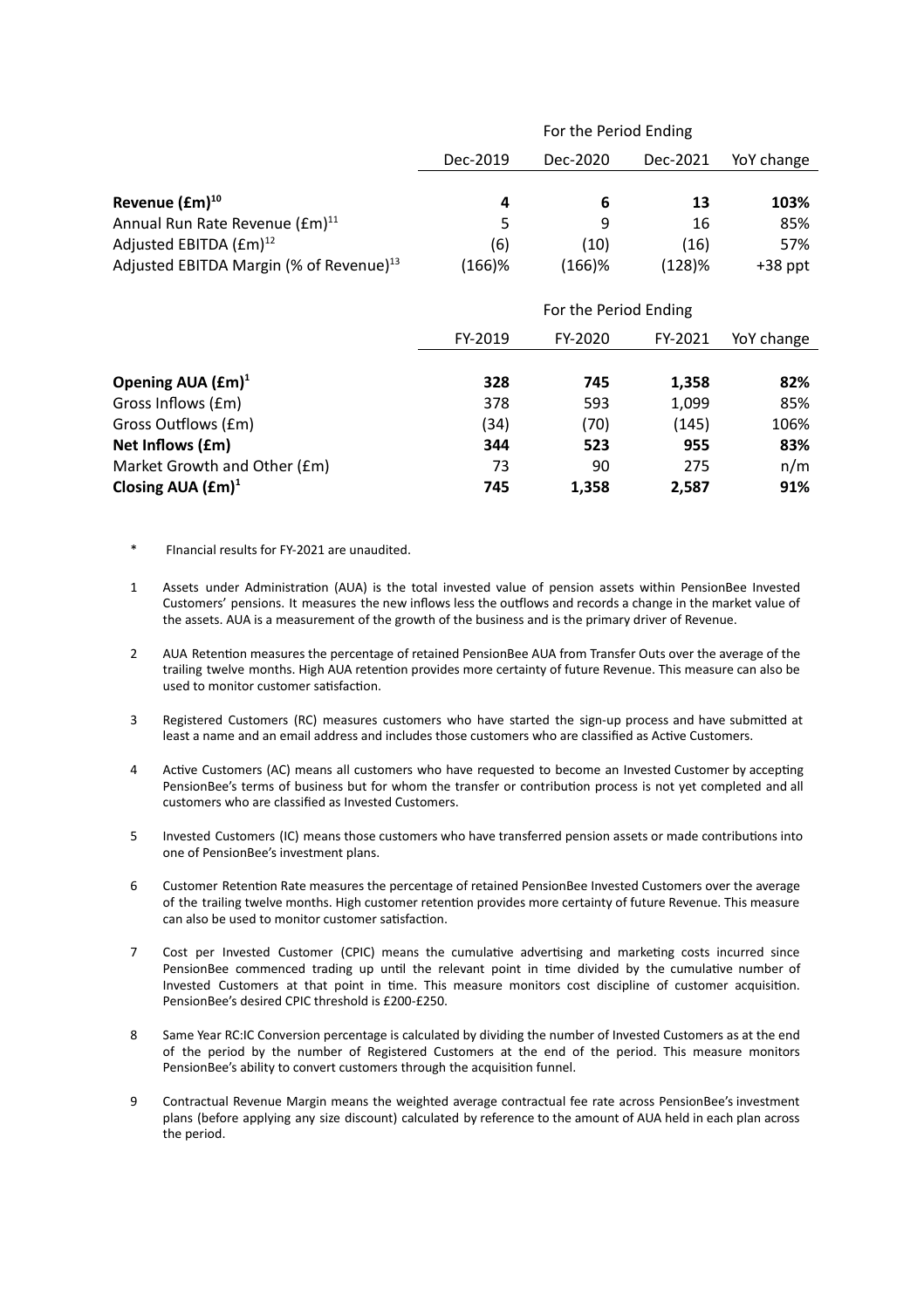|                                                     | For the Period Ending |           |          |            |  |
|-----------------------------------------------------|-----------------------|-----------|----------|------------|--|
|                                                     | Dec-2019              | Dec-2020  | Dec-2021 | YoY change |  |
|                                                     |                       |           |          |            |  |
| Revenue $(fm)^{10}$                                 | 4                     | 6         | 13       | 103%       |  |
| Annual Run Rate Revenue (£m) <sup>11</sup>          | 5                     | 9         | 16       | 85%        |  |
| Adjusted EBITDA $(fm)^{12}$                         | (6)                   | (10)      | (16)     | 57%        |  |
| Adjusted EBITDA Margin (% of Revenue) <sup>13</sup> | $(166)$ %             | $(166)$ % | (128)%   | $+38$ ppt  |  |
|                                                     |                       |           |          |            |  |
|                                                     | For the Period Ending |           |          |            |  |
|                                                     | FY-2019               | FY-2020   | FY-2021  | YoY change |  |
|                                                     |                       |           |          |            |  |
| Opening AUA $(fm)^1$                                | 328                   | 745       | 1,358    | 82%        |  |
| Gross Inflows (£m)                                  | 378                   | 593       | 1,099    | 85%        |  |
| Gross Outflows (£m)                                 | (34)                  | (70)      | (145)    | 106%       |  |
| Net Inflows (£m)                                    | 344                   | 523       | 955      | 83%        |  |
| Market Growth and Other (£m)                        | 73                    | 90        | 275      | n/m        |  |
| Closing AUA $(fm)^1$                                | 745                   | 1,358     | 2,587    | 91%        |  |

- FInancial results for FY-2021 are unaudited.
- 1 Assets under Administration (AUA) is the total invested value of pension assets within PensionBee Invested Customers' pensions. It measures the new inflows less the outflows and records a change in the market value of the assets. AUA is a measurement of the growth of the business and is the primary driver of Revenue.
- 2 AUA Retention measures the percentage of retained PensionBee AUA from Transfer Outs over the average of the trailing twelve months. High AUA retention provides more certainty of future Revenue. This measure can also be used to monitor customer satisfaction.
- 3 Registered Customers (RC) measures customers who have started the sign-up process and have submitted at least a name and an email address and includes those customers who are classified as Active Customers.
- 4 Active Customers (AC) means all customers who have requested to become an Invested Customer by accepting PensionBee's terms of business but for whom the transfer or contribution process is not yet completed and all customers who are classified as Invested Customers.
- 5 Invested Customers (IC) means those customers who have transferred pension assets or made contributions into one of PensionBee's investment plans.
- 6 Customer Retention Rate measures the percentage of retained PensionBee Invested Customers over the average of the trailing twelve months. High customer retention provides more certainty of future Revenue. This measure can also be used to monitor customer satisfaction.
- 7 Cost per Invested Customer (CPIC) means the cumulative advertising and marketing costs incurred since PensionBee commenced trading up until the relevant point in time divided by the cumulative number of Invested Customers at that point in time. This measure monitors cost discipline of customer acquisition. PensionBee's desired CPIC threshold is £200-£250.
- 8 Same Year RC:IC Conversion percentage is calculated by dividing the number of Invested Customers as at the end of the period by the number of Registered Customers at the end of the period. This measure monitors PensionBee's ability to convert customers through the acquisition funnel.
- 9 Contractual Revenue Margin means the weighted average contractual fee rate across PensionBee's investment plans (before applying any size discount) calculated by reference to the amount of AUA held in each plan across the period.